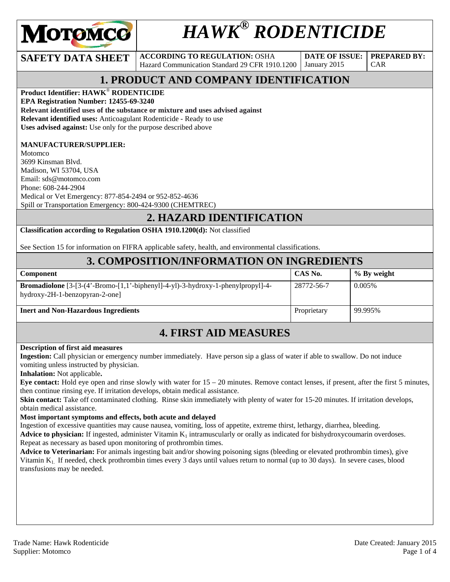

# *HAWK® RODENTICIDE*

**SAFETY DATA SHEET ACCORDING TO REGULATION: OSHA** Hazard Communication Standard 29 CFR 1910.1200

**DATE OF ISSUE:**  January 2015

CAR

**PREPARED BY:** 

# **1. PRODUCT AND COMPANY IDENTIFICATION**

**Product Identifier: HAWK**® **RODENTICIDE** 

**EPA Registration Number: 12455-69-3240** 

**Relevant identified uses of the substance or mixture and uses advised against**

**Relevant identified uses:** Anticoagulant Rodenticide - Ready to use

**Uses advised against:** Use only for the purpose described above

#### **MANUFACTURER/SUPPLIER:**

Motomco 3699 Kinsman Blvd. Madison, WI 53704, USA Email: sds@motomco.com Phone: 608-244-2904 Medical or Vet Emergency: 877-854-2494 or 952-852-4636 Spill or Transportation Emergency: 800-424-9300 (CHEMTREC)

#### **2. HAZARD IDENTIFICATION**

**Classification according to Regulation OSHA 1910.1200(d):** Not classified

See Section 15 for information on FIFRA applicable safety, health, and environmental classifications.

#### **3. COMPOSITION/INFORMATION ON INGREDIENTS**

| Component                                                                                                                             | CAS No.     | $\%$ By weight |
|---------------------------------------------------------------------------------------------------------------------------------------|-------------|----------------|
| <b>Bromadiolone</b> $[3-(4 \cdot Bromo-[1,1 \cdot bipheny]]-4-y]$ .<br>3-hydroxy-1-phenylpropyl]-4-<br>hydroxy-2H-1-benzopyran-2-one] | 28772-56-7  | 0.005%         |
| <b>Inert and Non-Hazardous Ingredients</b>                                                                                            | Proprietary | 99.995%        |

### **4. FIRST AID MEASURES**

#### **Description of first aid measures**

**Ingestion:** Call physician or emergency number immediately. Have person sip a glass of water if able to swallow. Do not induce vomiting unless instructed by physician.

**Inhalation:** Not applicable**.** 

**Eye contact:** Hold eye open and rinse slowly with water for 15 – 20 minutes. Remove contact lenses, if present, after the first 5 minutes, then continue rinsing eye. If irritation develops, obtain medical assistance.

**Skin contact:** Take off contaminated clothing. Rinse skin immediately with plenty of water for 15-20 minutes. If irritation develops, obtain medical assistance.

#### **Most important symptoms and effects, both acute and delayed**

Ingestion of excessive quantities may cause nausea, vomiting, loss of appetite, extreme thirst, lethargy, diarrhea, bleeding.

Advice to physician: If ingested, administer Vitamin K<sub>1</sub> intramuscularly or orally as indicated for bishydroxycoumarin overdoses. Repeat as necessary as based upon monitoring of prothrombin times.

**Advice to Veterinarian:** For animals ingesting bait and/or showing poisoning signs (bleeding or elevated prothrombin times), give Vitamin K1. If needed, check prothrombin times every 3 days until values return to normal (up to 30 days). In severe cases, blood transfusions may be needed.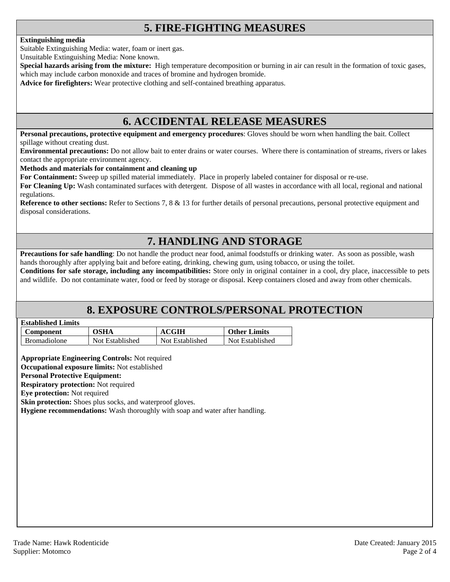# **5. FIRE-FIGHTING MEASURES**

#### **Extinguishing media**

Suitable Extinguishing Media: water, foam or inert gas.

Unsuitable Extinguishing Media: None known.

**Special hazards arising from the mixture:** High temperature decomposition or burning in air can result in the formation of toxic gases, which may include carbon monoxide and traces of bromine and hydrogen bromide.

**Advice for firefighters:** Wear protective clothing and self-contained breathing apparatus.

#### **6. ACCIDENTAL RELEASE MEASURES**

**Personal precautions, protective equipment and emergency procedures**: Gloves should be worn when handling the bait. Collect spillage without creating dust.

**Environmental precautions:** Do not allow bait to enter drains or water courses. Where there is contamination of streams, rivers or lakes contact the appropriate environment agency.

#### **Methods and materials for containment and cleaning up**

**For Containment:** Sweep up spilled material immediately. Place in properly labeled container for disposal or re-use.

**For Cleaning Up:** Wash contaminated surfaces with detergent. Dispose of all wastes in accordance with all local, regional and national regulations.

**Reference to other sections:** Refer to Sections 7, 8 & 13 for further details of personal precautions, personal protective equipment and disposal considerations.

# **7. HANDLING AND STORAGE**

**Precautions for safe handling**: Do not handle the product near food, animal foodstuffs or drinking water. As soon as possible, wash hands thoroughly after applying bait and before eating, drinking, chewing gum, using tobacco, or using the toilet.

**Conditions for safe storage, including any incompatibilities:** Store only in original container in a cool, dry place, inaccessible to pets and wildlife. Do not contaminate water, food or feed by storage or disposal. Keep containers closed and away from other chemicals.

### **8. EXPOSURE CONTROLS/PERSONAL PROTECTION**

| <b>Established Limits</b> |  |
|---------------------------|--|
|                           |  |

| <b>Component</b>    | OSHA            | <b>ACGIH</b>    | <b>Other Limits</b> |
|---------------------|-----------------|-----------------|---------------------|
| <b>Bromadiolone</b> | Not Established | Not Established | Not Established     |

**Appropriate Engineering Controls:** Not required

**Occupational exposure limits:** Not established

#### **Personal Protective Equipment:**

**Respiratory protection:** Not required

**Eye protection:** Not required

**Skin protection:** Shoes plus socks, and waterproof gloves.

**Hygiene recommendations:** Wash thoroughly with soap and water after handling.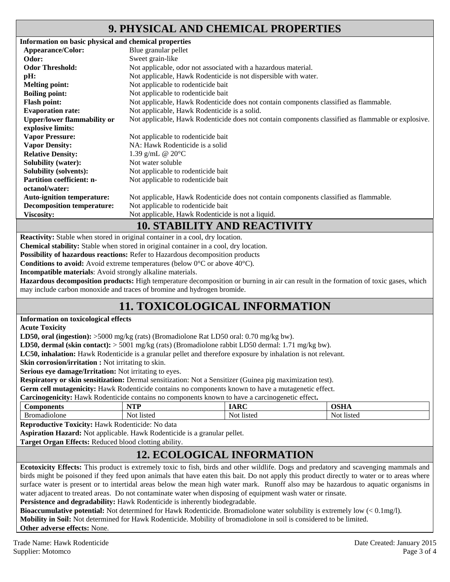## **9. PHYSICAL AND CHEMICAL PROPERTIES**

| Information on basic physical and chemical properties |                                                                                                    |
|-------------------------------------------------------|----------------------------------------------------------------------------------------------------|
| Appearance/Color:                                     | Blue granular pellet                                                                               |
| Odor:                                                 | Sweet grain-like                                                                                   |
| <b>Odor Threshold:</b>                                | Not applicable, odor not associated with a hazardous material.                                     |
| pH:                                                   | Not applicable, Hawk Rodenticide is not dispersible with water.                                    |
| <b>Melting point:</b>                                 | Not applicable to rodenticide bait                                                                 |
| <b>Boiling point:</b>                                 | Not applicable to rodenticide bait                                                                 |
| <b>Flash point:</b>                                   | Not applicable, Hawk Rodenticide does not contain components classified as flammable.              |
| <b>Evaporation rate:</b>                              | Not applicable, Hawk Rodenticide is a solid.                                                       |
| <b>Upper/lower flammability or</b>                    | Not applicable, Hawk Rodenticide does not contain components classified as flammable or explosive. |
| explosive limits:                                     |                                                                                                    |
| <b>Vapor Pressure:</b>                                | Not applicable to rodenticide bait                                                                 |
| <b>Vapor Density:</b>                                 | NA: Hawk Rodenticide is a solid                                                                    |
| <b>Relative Density:</b>                              | 1.39 g/mL $@ 20°C$                                                                                 |
| <b>Solubility (water):</b>                            | Not water soluble                                                                                  |
| <b>Solubility (solvents):</b>                         | Not applicable to rodenticide bait                                                                 |
| <b>Partition coefficient: n-</b>                      | Not applicable to rodenticide bait                                                                 |
| octanol/water:                                        |                                                                                                    |
| <b>Auto-ignition temperature:</b>                     | Not applicable, Hawk Rodenticide does not contain components classified as flammable.              |
| <b>Decomposition temperature:</b>                     | Not applicable to rodenticide bait                                                                 |
| <b>Viscosity:</b>                                     | Not applicable, Hawk Rodenticide is not a liquid.                                                  |
|                                                       | 10 CTA DII ITV AND DEA CTIVITV                                                                     |

#### **10. STABILITY AND REACTIVITY**

**Reactivity:** Stable when stored in original container in a cool, dry location.

**Chemical stability:** Stable when stored in original container in a cool, dry location.

**Possibility of hazardous reactions:** Refer to Hazardous decomposition products

**Conditions to avoid:** Avoid extreme temperatures (below 0°C or above 40°C).

**Incompatible materials**: Avoid strongly alkaline materials.

**Hazardous decomposition products:** High temperature decomposition or burning in air can result in the formation of toxic gases, which may include carbon monoxide and traces of bromine and hydrogen bromide.

# **11. TOXICOLOGICAL INFORMATION**

#### **Information on toxicological effects**

**Acute Toxicity** 

**LD50, oral (ingestion):** >5000 mg/kg (rats) (Bromadiolone Rat LD50 oral: 0.70 mg/kg bw).

**LD50, dermal (skin contact):** > 5001 mg/kg (rats) (Bromadiolone rabbit LD50 dermal: 1.71 mg/kg bw).

**LC50, inhalation:** Hawk Rodenticide is a granular pellet and therefore exposure by inhalation is not relevant.

**Skin corrosion/irritation :** Not irritating to skin.

**Serious eye damage/Irritation:** Not irritating to eyes.

**Respiratory or skin sensitization:** Dermal sensitization: Not a Sensitizer (Guinea pig maximization test).

**Germ cell mutagenicity:** Hawk Rodenticide contains no components known to have a mutagenetic effect.

**Carcinogenicity:** Hawk Rodenticide contains no components known to have a carcinogenetic effect**.** 

| ΛН<br>.<br>шк  | w<br>.                 | $\sim$               | ----       |
|----------------|------------------------|----------------------|------------|
| olone<br>าลตาด | 11052<br>NO.<br>75 L.C | Not<br><b>listec</b> | 11010<br>. |

**Reproductive Toxicity:** Hawk Rodenticide: No data

**Aspiration Hazard:** Not applicable. Hawk Rodenticide is a granular pellet.

**Target Organ Effects:** Reduced blood clotting ability.

### **12. ECOLOGICAL INFORMATION**

**Ecotoxicity Effects:** This product is extremely toxic to fish, birds and other wildlife. Dogs and predatory and scavenging mammals and birds might be poisoned if they feed upon animals that have eaten this bait. Do not apply this product directly to water or to areas where surface water is present or to intertidal areas below the mean high water mark. Runoff also may be hazardous to aquatic organisms in water adjacent to treated areas. Do not contaminate water when disposing of equipment wash water or rinsate.

Persistence and degradability: Hawk Rodenticide is inherently biodegradable.

**Bioaccumulative potential:** Not determined for Hawk Rodenticide. Bromadiolone water solubility is extremely low (< 0.1mg/l). **Mobility in Soil:** Not determined for Hawk Rodenticide. Mobility of bromadiolone in soil is considered to be limited. **Other adverse effects:** None.